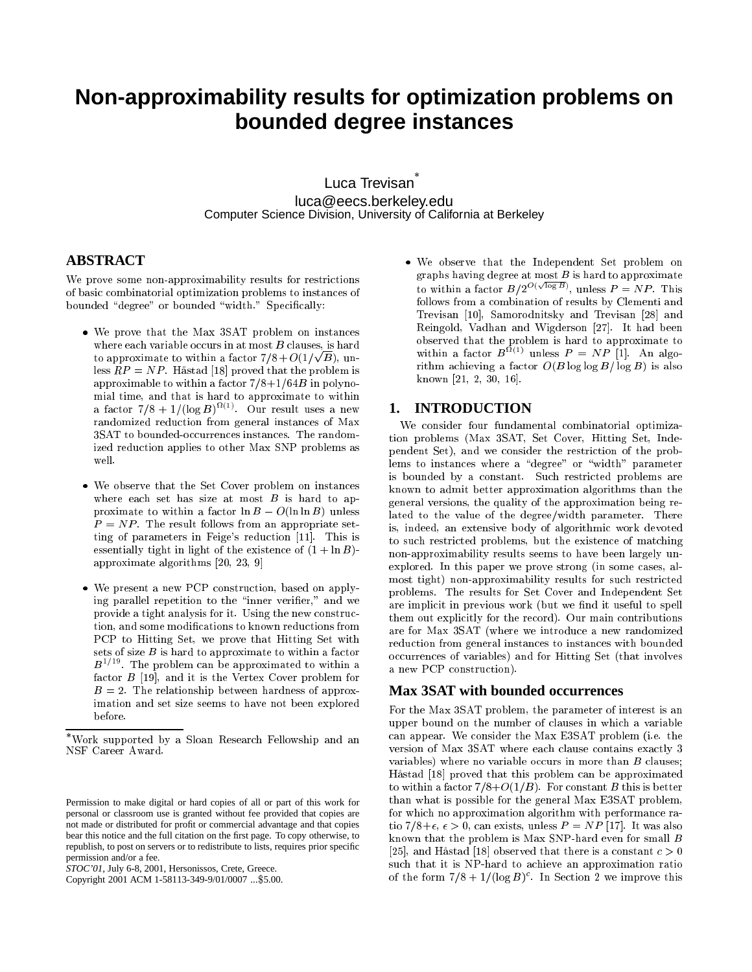# **Non-approximability results for optimization problems on bounded degree instances**

Luca Trevisan luca@eecs.berkeley.edu Computer Science Division, University of California at Berkeley

## **ABSTRACT**

We prove some non-approximability results for restrictions of basi ombinatorial optimization problems to instan
es of bounded "degree" or bounded "width." Specifically:

- We prove that the Max 3SAT problem on instan
es where each variable occurs in at most  $B$  clauses, is hard to approximate to within a factor  $7/8 + O(1/\sqrt{B})$ , unless  $RP = NP$ . Håstad [18] proved that the problem is approximable to within a factor  $7/8+1/64B$  in polynomial time, and that is hard to approximate to within a factor  $(78 + 1)(\log B)$   $\vee$ . Our result uses a new randomized redu
tion from general instan
es of Max 3SAT to bounded-occurrences instances. The randomized redu
tion applies to other Max SNP problems as well.
- We observe that the Set Cover problem on instan
es where each set has size at most  $B$  is hard to approximate to within a factor  $\ln B - O(\ln \ln B)$  unless  $P = NP$ . The result follows from an appropriate setting of parameters in Feige's reduction  $[11]$ . This is essentially tight in light of the existence of  $(1 + \ln B)$ approximate algorithms  $[20, 23, 9]$
- We present a new PCP onstru
tion, based on applying parallel repetition to the "inner verifier," and we provide a tight analysis for it. Using the new construction, and some modifications to known reductions from PCP to Hitting Set, we prove that Hitting Set with sets of size  $B$  is hard to approximate to within a factor  $B^{-1}$  . The problem can be approximated to within a factor  $B$  [19], and it is the Vertex Cover problem for  $B = 2$ . The relationship between hardness of approximation and set size seems to have not been explored before.

Copyright 2001 ACM 1-58113-349-9/01/0007 ...\$5.00.

 We observe that the Independent Set problem on graphs having degree at most  $B$  is hard to approximate to within a factor  $B/2^{O(\sqrt{\log B})}$ , unless  $P = NP$ . This follows from a ombination of results by Clementi and Trevisan [10], Samorodnitsky and Trevisan [28] and Reingold, Vadhan and Wigderson [27]. It had been within a factor  $B^{\Omega(1)}$  unless  $P = NP$  [1]. An algorithm achieving a factor  $O(B \log \log B/\log B)$  is also known  $[21, 2, 30, 16]$ .

#### **1. INTRODUCTION**

We onsider four fundamental ombinatorial optimization problems (Max 3SAT, Set Cover, Hitting Set, Independent Set), and we onsider the restri
tion of the problems to instances where a "degree" or "width" parameter is bounded by a onstant. Su
h restri
ted problems are known to admit better approximation algorithms than the general versions, the quality of the approximation being related to the value of the degree/width parameter. There is, indeed, an extensive body of algorithmi work devoted to such restricted problems, but the existence of matching non-approximability results seems to have been largely unexplored. In this paper we prove strong (in some cases, almost tight) non-approximability results for su
h restri
ted problems. The results for Set Cover and Independent Set are implicit in previous work (but we find it useful to spell them out explicitly for the record). Our main contributions are for Max 3SAT (where we introdu
e a new randomized redu
tion from general instan
es to instan
es with bounded occurrences of variables) and for Hitting Set (that involves a new PCP construction).

#### **Max 3SAT with bounded occurrences**

For the Max 3SAT problem, the parameter of interest is an upper bound on the number of lauses in whi
h a variable an appear. We onsider the Max E3SAT problem (i.e. the version of Max 3SAT where each clause contains exactly 3 variables) where no variable occurs in more than  $B$  clauses; Håstad [18] proved that this problem can be approximated to within a factor  $7/8+O(1/B)$ . For constant B this is better than what is possible for the general Max E3SAT problem, for which no approximation algorithm with performance ratio 7/8+ $\epsilon, \epsilon > 0$ , can exists, unless  $P = NP$  [17]. It was also known that the problem is Max SNP-hard even for small B [25], and Håstad [18] observed that there is a constant  $c > 0$ such that it is NP-hard to achieve an approximation ratio of the form  $7/8 + 1/(log B)$ . In Section 2 we improve this

Work supported by a Sloan Resear
h Fellowship and an NSF Career Award.

Permission to make digital or hard copies of all or part of this work for personal or classroom use is granted without fee provided that copies are not made or distributed for profit or commercial advantage and that copies bear this notice and the full citation on the first page. To copy otherwise, to republish, to post on servers or to redistribute to lists, requires prior specific permission and/or a fee.

*STOC'01,* July 6-8, 2001, Hersonissos, Crete, Greece.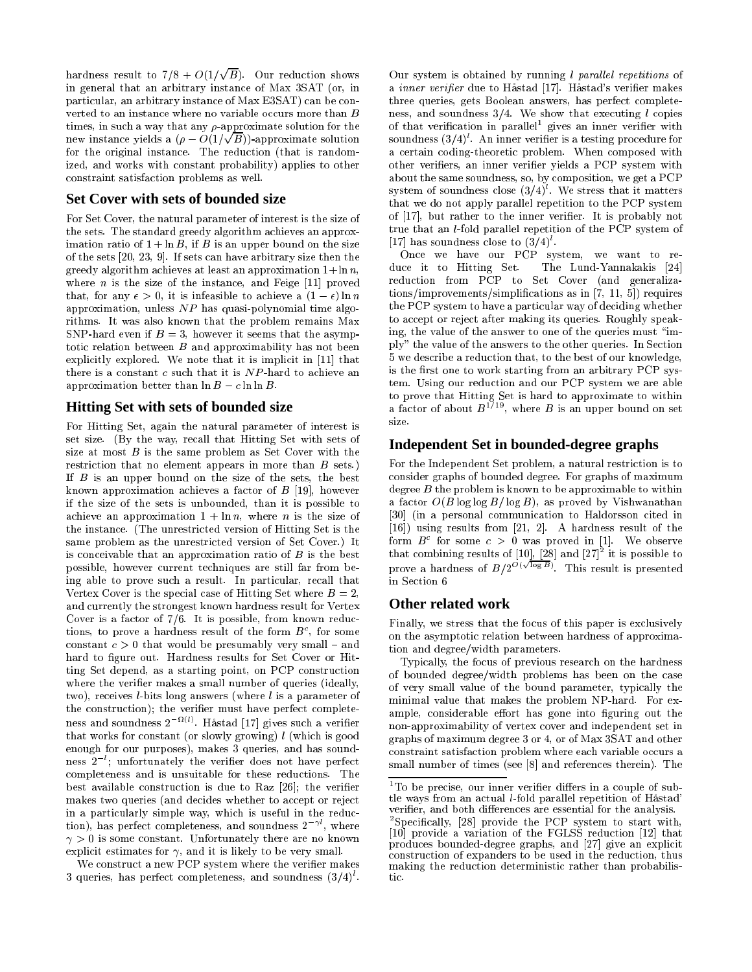hardness result to 7/8 +  $O(1/\sqrt{B})$ . Our reduction shows in general that an arbitrary instan
e of Max 3SAT (or, in particular, an arbitrary instance of Max E3SAT) can be converted to an instance where no variable occurs more than B times, in such a way that any  $\rho$ -approximate solution for the new instance yields a  $(\rho - O(1/\sqrt{B}))$ -approximate solution for the original instance. The reduction (that is randomized, and works with onstant probability) applies to other onstraint satisfa
tion problems as well.

#### **Set Cover with sets of bounded size**

For Set Cover, the natural parameter of interest is the size of the sets. The standard greedy algorithm a
hieves an approximation ratio of  $1 + \ln B$ , if B is an upper bound on the size of the sets  $[20, 23, 9]$ . If sets can have arbitrary size then the greedy algorithm achieves at least an approximation  $1 + \ln n$ , where  $n$  is the size of the instance, and Feige  $[11]$  proved that, for any  $\epsilon > 0$ , it is infeasible to achieve a  $(1 - \epsilon) \ln n$ approximation, unless NP has quasi-polynomial time algorithms. It was also known that the problem remains Max SNP-hard even if  $B = 3$ , however it seems that the asymptoti relation between B and approximability has not been explicitly explored. We note that it is implicit in [11] that there is a constant  $c$  such that it is  $NP$ -hard to achieve an approximation better than  $\ln B - c \ln \ln B$ .

#### **Hitting Set with sets of bounded size**

For Hitting Set, again the natural parameter of interest is set size. (By the way, re
all that Hitting Set with sets of size at most  $B$  is the same problem as Set Cover with the restriction that no element appears in more than B sets.) If B is an upper bound on the size of the sets, the best known approximation achieves a factor of  $B$  [19], however if the size of the sets is unbounded, than it is possible to achieve an approximation  $1 + \ln n$ , where *n* is the size of the instan
e. (The unrestri
ted version of Hitting Set is the same problem as the unrestri
ted version of Set Cover.) It is conceivable that an approximation ratio of  $B$  is the best possible, however urrent te
hniques are still far from being able to prove such a result. In particular, recall that Vertex Cover is the special case of Hitting Set where  $B = 2$ , and urrently the strongest known hardness result for Vertex Cover is a factor of  $7/6$ . It is possible, from known reductions, to prove a nardness result of the form  $B^-$ , for some constant  $c > 0$  that would be presumably very small - and hard to figure out. Hardness results for Set Cover or Hitting Set depend, as a starting point, on PCP onstru
tion where the verifier makes a small number of queries (ideally, two), receives *l*-bits long answers (where *l* is a parameter of the construction); the verifier must have perfect completeness and soundness 2 TV. Hastad [17] gives such a verifier that works for constant (or slowly growing)  $l$  (which is good enough for our purposes), makes 3 queries, and has soundness 2 ; unfortunately the verifier does not have perfect ompleteness and is unsuitable for these redu
tions. The best available construction is due to Raz  $[26]$ ; the verifier makes two queries (and decides whether to accept or reject in a particularly simple way, which is useful in the reduction), has perfect completeness, and soundness 2 <sub>c</sub> where  $\gamma > 0$  is some constant. Unfortunately there are no known explicit estimates for  $\gamma$ , and it is likely to be very small.

We construct a new PCP system where the verifier makes 3 queries, has perfect completeness, and soundness (3/4) .

Our system is obtained by running  $l$  parallel repetitions of a *inner verifier* due to Håstad [17]. Håstad's verifier makes three queries, gets Boolean answers, has perfe
t ompleteness, and soundness  $3/4$ . We show that executing l copies of that verification in parallel gives an inner verifier with soundness (3/4) . An inner veriner is a testing procedure for a certain coding-theoretic problem. When composed with other veriers, an inner verier yields a PCP system with about the same soundness, so, by omposition, we get a PCP system of soundness close  $(3/4)$  . We stress that it matters that we do not apply parallel repetition to the PCP system of  $[17]$ , but rather to the inner verifier. It is probably not true that an l-fold parallel repetition of the PCP system of  $|17|$  has soundness close to  $(3/4)$ .

On
e we have our PCP system, we want to reduce it to Hitting Set. The Lund-Yannakakis [24] redu
tion from PCP to Set Cover (and generaliza $tions/improvements/simplifications as in [7, 11, 5]) requires$ the PCP system to have a particular way of deciding whether to accept or reject after making its queries. Roughly speaking, the value of the answer to one of the queries must "imply" the value of the answers to the other queries. In Section 5 we des
ribe a redu
tion that, to the best of our knowledge, is the first one to work starting from an arbitrary PCP system. Using our reduction and our PCP system we are able a factor of about  $B^{1/19}$ , where B is an upper bound on set size.

#### **Independent Set in bounded-degree graphs**

For the Independent Set problem, a natural restriction is to onsider graphs of bounded degree. For graphs of maximum degree  $B$  the problem is known to be approximable to within a factor  $O(B \log \log B/\log B)$ , as proved by Vishwanathan [30] (in a personal communication to Haldorsson cited in  $[16]$ ) using results from  $[21, 2]$ . A hardness result of the form  $B^-$  for some  $c > 0$  was proved in [1]. We observe that combining results of  $[10], [28]$  and  $[27]$  it is possible to prove a hardness of  $B/2^{O(\sqrt{\log B})}$ . This result is presented in Section 6

#### **Other related work**

Finally, we stress that the focus of this paper is exclusively on the asymptotic relation between hardness of approximation and degree/width parameters.

Typi
ally, the fo
us of previous resear
h on the hardness of bounded degree/width problems has been on the ase of very small value of the bound parameter, typi
ally the minimal value that makes the problem NP-hard. For example, considerable effort has gone into figuring out the non-approximability of vertex over and independent set in graphs of maximum degree 3 or 4, or of Max 3SAT and other constraint satisfaction problem where each variable occurs a small number of times (see  $[8]$  and references therein). The

To be precise, our inner verifier differs in a couple of subtle ways from an actual *l*-fold parallel repetition of Håstad' verifier, and both differences are essential for the analysis.

Specincally, [28] provide the PCP system to start with, [10] provide a variation of the FGLSS reduction [12] that produces bounded-degree graphs, and [27] give an explicit construction of expanders to be used in the reduction, thus making the reduction deterministic rather than probabilistic.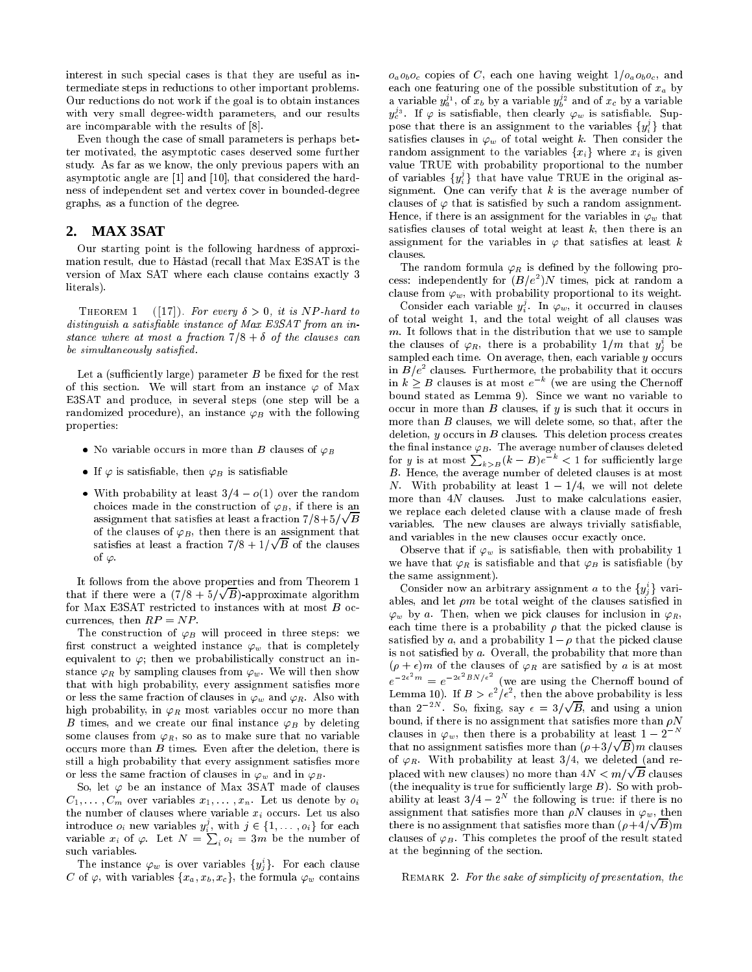interest in such special cases is that they are useful as intermediate steps in reductions to other important problems. Our reductions do not work if the goal is to obtain instances with very small degree-width parameters, and our results are incomparable with the results of  $[8]$ .

Even though the ase of small parameters is perhaps better motivated, the asymptotic cases deserved some further study. As far as we know, the only previous papers with an asymptotic angle are  $[1]$  and  $[10]$ , that considered the hardness of independent set and vertex over in bounded-degree graphs, as a fun
tion of the degree.

### **2. MAX 3SAT**

Our starting point is the following hardness of approximation result, due to Hastad (re
all that Max E3SAT is the version of Max SAT where each clause contains exactly 3 literals).

THEOREM 1 ([17]). For every  $\delta > 0$ , it is NP-hard to distinguish a satisfiable instance of Max E3SAT from an instance where at most a fraction  $7/8 + \delta$  of the clauses can be simultaneously satisfied.

Let a (sufficiently large) parameter  $B$  be fixed for the rest of this section. We will start from an instance  $\varphi$  of Max E3SAT and produ
e, in several steps (one step will be a randomized procedure), an instance  $\varphi_B$  with the following properties:

- No variable occurs in more than B clauses of  $\varphi_B$
- If  $\varphi$  is satisfiable, then  $\varphi_B$  is satisfiable
- With probability at least  $3/4 o(1)$  over the random choices made in the construction of  $\varphi_B$ , if there is an assignment that satisfies at least a fraction  $7/8+5/\sqrt{B}$ of the clauses of  $\varphi_B$ , then there is an assignment that satisfies at least a fraction  $7/8 + 1/\sqrt{B}$  of the clauses of  $\varphi$ .

It follows from the above properties and from Theorem 1 that if there were a  $(7/8 + 5/\sqrt{B})$ -approximate algorithm for Max E3SAT restricted to instances with at most B occurrences, then  $RP = NP$ .

The construction of  $\varphi_B$  will proceed in three steps: we first construct a weighted instance  $\varphi_w$  that is completely equivalent to  $\varphi$ ; then we probabilistically construct an instance  $\varphi_R$  by sampling clauses from  $\varphi_w$ . We will then show that with high probability, every assignment satisfies more or less the same fraction of clauses in  $\varphi_w$  and  $\varphi_R$ . Also with high probability, in  $\varphi_R$  most variables occur no more than B times, and we create our final instance  $\varphi_B$  by deleting some clauses from  $\varphi_R$ , so as to make sure that no variable occurs more than B times. Even after the deletion, there is still a high probability that every assignment satisfies more or less the same fraction of clauses in  $\varphi_w$  and in  $\varphi_B$ .

So, let  $\varphi$  be an instance of Max 3SAT made of clauses  $C_1, \ldots, C_m$  over variables  $x_1, \ldots, x_n$ . Let us denote by  $o_i$ the number of clauses where variable  $x_i$  occurs. Let us also introduce  $o_i$  new variables  $y_i^o$ , with  $j \in \{1, \ldots, o_i\}$  for each variable  $x_i$  of  $\varphi$ . Let  $N = \sum_i o_i = 3m$  be the number of su
h variables.

The instance  $\varphi_w$  is over variables  $\{y_j\}$ . For each clause C of  $\varphi$ , with variables  $\{x_a, x_b, x_c\}$ , the formula  $\varphi_w$  contains  $o_a o_b o_c$  copies of C, each one having weight  $1/o_a o_b o_c$ , and each one featuring one of the possible substitution of  $x_a$  by a variable  $y_a^{\tau_1}$ , of  $x_b$  by a variable  $y_b^{\tau_2}$  and of  $x_c$  by a variable  $y_c^{\omega}$ . It  $\varphi$  is satisfiable, then clearly  $\varphi_w$  is satisfiable. Suppose that there is an assignment to the variables  $\{y_i^r\}$  that satisfies clauses in  $\varphi_w$  of total weight k. Then consider the random assignment to the variables  $\{x_i\}$  where  $x_i$  is given value TRUE with probability proportional to the number of variables  $\{y_i^j\}$  that have value TRUE in the original assignment. One can verify that  $k$  is the average number of clauses of  $\varphi$  that is satisfied by such a random assignment. Hence, if there is an assignment for the variables in  $\varphi_w$  that satisfies clauses of total weight at least  $k$ , then there is an assignment for the variables in  $\varphi$  that satisfies at least k clauses.

The random formula  $\varphi_R$  is defined by the following pro- $\c{cess:}$  independently for  $(B/e^-)N$  times, pick at random a clause from  $\varphi_w$ , with probability proportional to its weight.

Consider each variable  $y_i^*$ . In  $\varphi_w,$  it occurred in clauses of total weight 1, and the total weight of all lauses was m. It follows that in the distribution that we use to sample the clauses of  $\varphi_R,$  there is a probability  $1/m$  that  $y_j$  be sampled each time. On average, then, each variable  $y$  occurs in  $B/e^-$  clauses. Furthermore, the probability that it occurs<br>in  $k \geq B$  clauses is at most  $e^{-k}$  (we are using the Chernoff bound stated as Lemma 9). Sin
e we want no variable to occur in more than  $B$  clauses, if  $y$  is such that it occurs in more than B clauses, we will delete some, so that, after the deletion,  $y$  occurs in  $B$  clauses. This deletion process creates the final instance  $\varphi_B$ . The average number of clauses deleted<br>for y is at most  $\sum_{k>B}(k-B)e^{-k} < 1$  for sufficiently large B. Hen
e, the average number of deleted lauses is at most N. With probability at least  $1-1/4$ , we will not delete more than 4N clauses. Just to make calculations easier, we repla
e ea
h deleted lause with a lause made of fresh variables. The new clauses are always trivially satisfiable, and variables in the new clauses occur exactly once.

Observe that if  $\varphi_w$  is satisfiable, then with probability 1 we have that  $\varphi_R$  is satisfiable and that  $\varphi_B$  is satisfiable (by the same assignment).

Consider now an arbitrary assignment *a* to the  $\{y_i\}$  variables, and let  $\rho m$  be total weight of the clauses satisfied in  $\varphi_w$  by a. Then, when we pick clauses for inclusion in  $\varphi_R$ , each time there is a probability  $\rho$  that the picked clause is satisfied by a, and a probability  $1 - \rho$  that the picked clause is not satisfied by a. Overall, the probability that more than  $(\rho + \epsilon)m$  of the clauses of  $\varphi_R$  are satisfied by a is at most  $e^{-2\epsilon - m} = e^{-2\epsilon - B N/\epsilon}$  (we are using the Chernoff bound of Lemma 10). If  $B > e^-/\epsilon^-$ , then the above probability is less than  $2^{-2N}$ . So, fixing, say  $\epsilon = 3/\sqrt{B}$ , and using a union bound, if there is no assignment that satisfies more than  $\rho N$ clauses in  $\varphi_w$ , then there is a probability at least  $1 - 2^{-N}$ that no assignment satisfies more than  $(\rho + 3/\sqrt{B})m$  clauses of  $\varphi_R$ . With probability at least 3/4, we deleted (and replaced with new clauses) no more than  $4N < m/\sqrt{B}$  clauses (the inequality is true for sufficiently large  $B$ ). So with probability at least  $3/4 - 2$  the following is true: if there is no assignment that satisfies more than  $\rho N$  clauses in  $\varphi_w$ , then there is no assignment that satisfies more than  $(\rho + 4/\sqrt{B})m$ clauses of  $\varphi_B$ . This completes the proof of the result stated at the beginning of the se
tion.

REMARK 2. For the sake of simplicity of presentation, the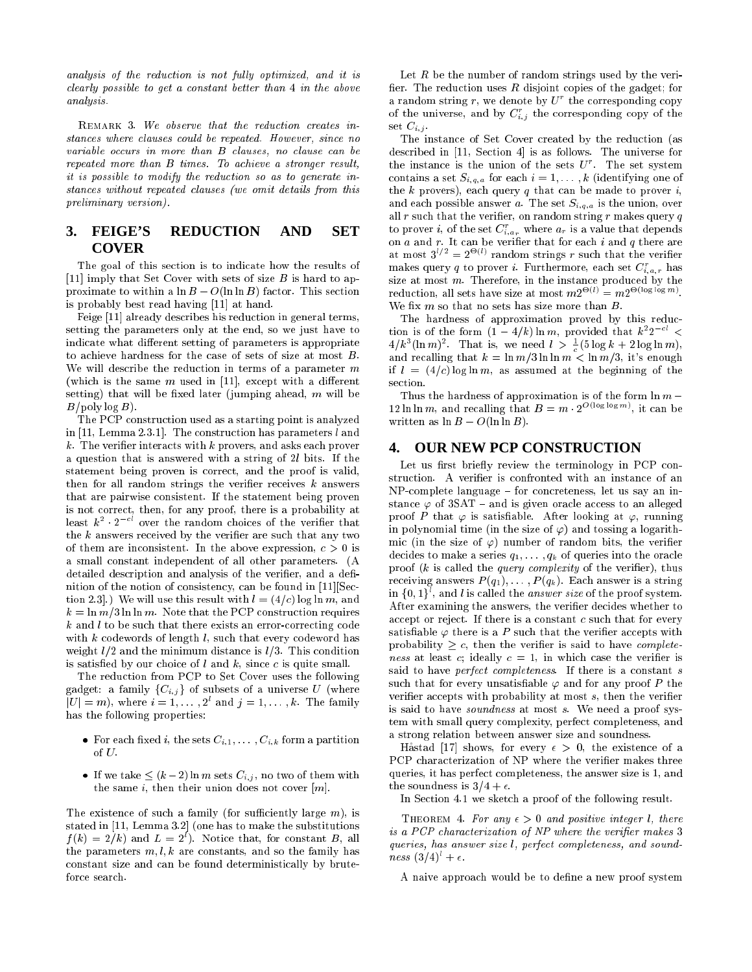analysis of the reduction is not fully optimized, and it is clearly possible to get a constant better than 4 in the above analysis.

REMARK 3. We observe that the reduction creates instances where clauses could be repeated. However, since no variable occurs in more than B clauses, no clause can be repeated more than B times. To a
hieve a stronger result, it is possible to modify the redu
tion so as to generate instan
es without repeated lauses (we omit details from this preliminary version).

# **3. FEIGE'S REDUCTION AND SET COVER**

The goal of this section is to indicate how the results of [11] imply that Set Cover with sets of size  $B$  is hard to approximate to within a  $\ln B - O(\ln \ln B)$  factor. This section is probably best read having [11] at hand.

Feige [11] already describes his reduction in general terms, setting the parameters only at the end, so we just have to indicate what different setting of parameters is appropriate to a
hieve hardness for the ase of sets of size at most B. We will describe the reduction in terms of a parameter  $m$ (which is the same m used in [11], except with a different setting) that will be fixed later (jumping ahead,  $m$  will be  $B/\text{poly}\log B$ .

The PCP onstru
tion used as a starting point is analyzed in [11, Lemma 2.3.1]. The construction has parameters  $l$  and  $k$ . The verifier interacts with  $k$  provers, and asks each prover a question that is answered with a string of 2l bits. If the statement being proven is orre
t, and the proof is valid, then for all random strings the verifier receives  $k$  answers that are pairwise onsistent. If the statement being proven is not orre
t, then, for any proof, there is a probability at least  $\kappa^-$  -  $z^-$  over the random choices of the verifier that the  $k$  answers received by the verifier are such that any two of them are inconsistent. In the above expression,  $c > 0$  is a small onstant independent of all other parameters. (A detailed description and analysis of the verifier, and a definition of the notion of consistency, can be found in  $[11]$ [Section 2.3.) We will use this result with  $l = (4/c) \log \ln m$ , and  $k = \ln m/3 \ln \ln m$ . Note that the PCP construction requires k and l to be such that there exists an error-correcting code with  $k$  codewords of length  $l$ , such that every codeword has weight  $l/2$  and the minimum distance is  $l/3$ . This condition is satisfied by our choice of  $l$  and  $k$ , since  $c$  is quite small.

The redu
tion from PCP to Set Cover uses the following gadget: a family  $\{C_{i,j}\}\$  of subsets of a universe U (where  $|U| = m$ , where  $i = 1, \ldots, 2$  and  $j = 1, \ldots, k$ . The family has the following properties:

- For each fixed *i*, the sets  $C_{i,1}, \ldots, C_{i,k}$  form a partition of  $U$ .
- If we take  $\leq (k-2) \ln m$  sets  $C_{i,j}$ , no two of them with the same  $i$ , then their union does not cover  $[m]$ .

The existence of such a family (for sufficiently large  $m$ ), is stated in  $[11, Lemma 3.2]$  (one has to make the substitutions  $f(k) = 2/k$  and  $L = 2$ ). Notice that, for constant B, all the parameters  $m, l, k$  are constants, and so the family has onstant size and an be found deterministi
ally by brutefor
e sear
h.

Let  $R$  be the number of random strings used by the verifier. The reduction uses  $R$  disjoint copies of the gadget; for a random string r, we denote by  $U$  the corresponding copy of the universe, and by  $C_{i,j}$  the corresponding copy of the set  $C_{i,j}$ .

The instance of Set Cover created by the reduction (as described in [11, Section 4] is as follows. The universe for the instance is the union of the sets  $\upsilon$  . The set system contains a set  $S_{i,q,a}$  for each  $i = 1, \ldots, k$  (identifying one of the  $k$  provers), each query  $q$  that can be made to prover  $i$ , and each possible answer a. The set  $S_{i,q,a}$  is the union, over all  $r$  such that the verifier, on random string  $r$  makes query  $q$ to prover  $i,$  of the set  $C_{i,a_r}$  where  $a_r$  is a value that depends on a and r. It an be verier that for ea
h i and q there are at most  $3' = 2$   $\vee$  random strings r such that the verifier makes query q to prover *i*. Furthermore, each set  $C_{i,a,r}$  has size at most  $m$ . Therefore, in the instance produced by the reduction, all sets have size at most  $m_Z \rightarrow m_Z \rightarrow m_Z$ We fix  $m$  so that no sets has size more than  $B$ .

The hardness of approximation proved by this reduction is of the form  $(1-4/k)$  in m, provided that  $k^2 \geq$  $4/k^2(\ln m)$ . That is, we need  $l > -1$  to  $\log k + 2 \log \ln m$ , and recalling that  $k = \ln m/3 \ln \ln m < \ln m/3$ , it's enough if  $l = (4/c) \log \ln m$ , as assumed at the beginning of the section.

Thus the hardness of approximation is of the form  $\ln m -$ 12 m in m, and recalling that  $B = m \cdot 2$  and solve mean be written as  $\ln B - O(\ln \ln B)$ .

#### **4. OUR NEW PCP CONSTRUCTION**

Let us first briefly review the terminology in PCP construction. A verifier is confronted with an instance of an NP-complete language - for concreteness, let us say an instance  $\varphi$  of 3SAT – and is given oracle access to an alleged proof P that  $\varphi$  is satisfiable. After looking at  $\varphi$ , running in polynomial time (in the size of  $\varphi$ ) and tossing a logarithmic (in the size of  $\varphi$ ) number of random bits, the verifier decides to make a series  $q_1, \ldots, q_k$  of queries into the oracle proof  $(k$  is called the *query complexity* of the verifier), thus receiving answers  $P(q_1), \ldots, P(q_k)$ . Each answer is a string in  $\{0, 1\}$ , and l is called the *answer size* of the proof system. After examining the answers, the verifier decides whether to accept or reject. If there is a constant  $c$  such that for every satisfiable  $\varphi$  there is a P such that the verifier accepts with probability  $\geq c$ , then the verifier is said to have *complete* ness at least c; ideally  $c = 1$ , in which case the verifier is said to have *perfect completeness*. If there is a constant s such that for every unsatisfiable  $\varphi$  and for any proof P the verifier accepts with probability at most  $s$ , then the verifier is said to have soundness at most s. We need a proof system with small query omplexity, perfe
t ompleteness, and a strong relation between answer size and soundness.

Håstad [17] shows, for every  $\epsilon > 0$ , the existence of a PCP characterization of NP where the verifier makes three queries, it has perfe
t ompleteness, the answer size is 1, and the soundness is  $3/4 + \epsilon$ .

In Section 4.1 we sketch a proof of the following result.

THEOREM 4. For any  $\epsilon > 0$  and positive integer l, there is a PCP characterization of NP where the verifier makes 3 queries, has answer size *l*, perfect completeness, and sound $ness(3/4) + \epsilon.$ 

A naive approa
h would be to dene a new proof system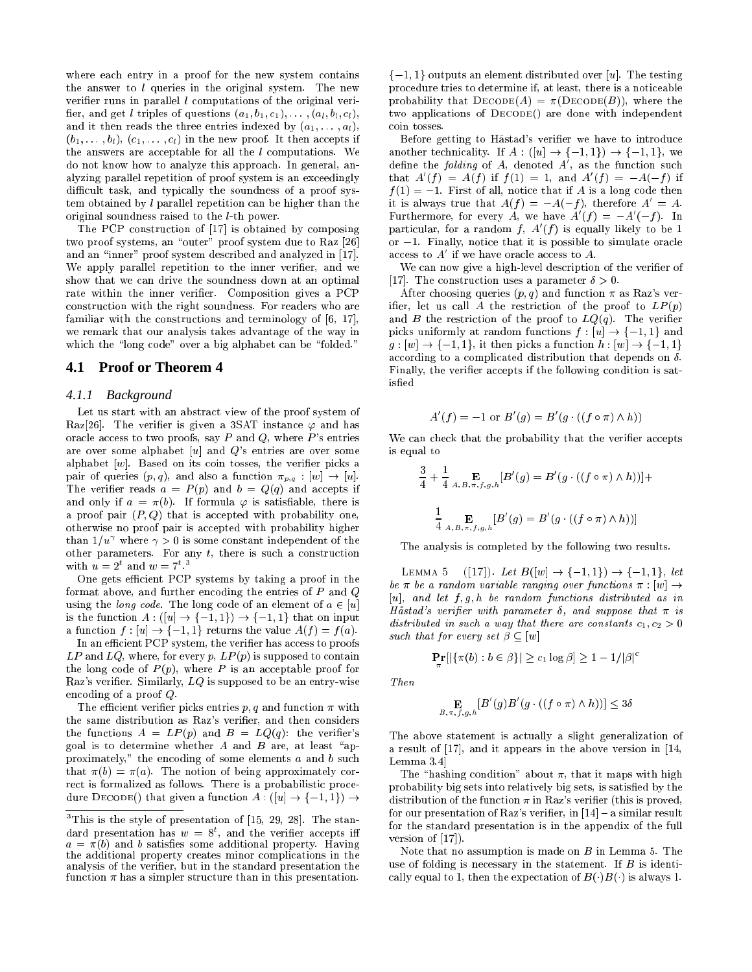where each entry in a proof for the new system contains the answer to  $l$  queries in the original system. The new verifier runs in parallel  $l$  computations of the original verifier, and get *l* triples of questions  $(a_1, b_1, c_1), \ldots, (a_l, b_l, c_l)$ , and it then reads the three entries indexed by  $(a_1, \ldots, a_l)$ ,  $(b_1, \ldots, b_l), (c_1, \ldots, c_l)$  in the new proof. It then accepts if the answers are acceptable for all the  $l$  computations. We do not know how to analyze this approa
h. In general, analyzing parallel repetition of proof system is an exceedingly difficult task, and typically the soundness of a proof system obtained by  $l$  parallel repetition can be higher than the original soundness raised to the l-th power.

The PCP construction of  $[17]$  is obtained by composing two proof systems, an "outer" proof system due to Raz [26] and an "inner" proof system described and analyzed in [17]. We apply parallel repetition to the inner verifier, and we show that we an drive the soundness down at an optimal rate within the inner verifier. Composition gives a PCP onstru
tion with the right soundness. For readers who are familiar with the constructions and terminology of  $[6, 17]$ , we remark that our analysis takes advantage of the way in which the "long code" over a big alphabet can be "folded."

#### **4.1 Proof or Theorem 4**

#### *4.1.1 Background*

Let us start with an abstract view of the proof system of Raz[26]. The verifier is given a 3SAT instance  $\varphi$  and has oracle access to two proofs, say  $P$  and  $Q$ , where  $P$ 's entries are over some alphabet  $[u]$  and  $Q$ 's entries are over some alphabet  $[w]$ . Based on its coin tosses, the verifier picks a pair of queries  $(p, q)$ , and also a function  $\pi_{p,q} : [w] \to [u]$ . The verifier reads  $a = P(p)$  and  $b = Q(q)$  and accepts if and only if  $a = \pi(b)$ . If formula  $\varphi$  is satisfiable, there is a proof pair  $(P,Q)$  that is accepted with probability one, otherwise no proof pair is accepted with probability higher than 1/ $u$  where  $\gamma >$  0 is some constant independent of the other parameters. For any  $t$ , there is such a construction with  $u = 2$  and  $w = 7$ .

One gets efficient PCP systems by taking a proof in the format above, and further encoding the entries of  $P$  and  $Q$ using the *long code*. The long code of an element of  $a \in [u]$ is the function  $A: ([u] \to \{-1, 1\}) \to \{-1, 1\}$  that on input a function  $f : [u] \to \{-1, 1\}$  returns the value  $A(f) = f(a)$ .

In an efficient PCP system, the verifier has access to proofs  $LP$  and  $LQ$ , where, for every p,  $LP(p)$  is supposed to contain the long code of  $P(p)$ , where P is an acceptable proof for Raz's verifier. Similarly,  $LQ$  is supposed to be an entry-wise en
oding of a proof Q.

The efficient verifier picks entries  $p, q$  and function  $\pi$  with the same distribution as Raz's verifier, and then considers the functions  $A = LP(p)$  and  $B = LQ(q)$ : the verifier's goal is to determine whether A and B are, at least "approximately," the encoding of some elements  $a$  and  $b$  such that  $\pi(b) = \pi(a)$ . The notion of being approximately correct is formalized as follows. There is a probabilistic procedure DECODE() that given a function  $A: ([u] \to \{-1, 1\}) \to$ 

 $\{-1, 1\}$  outputs an element distributed over [u]. The testing pro
edure tries to determine if, at least, there is a noti
eable probability that  $\text{DECODE}(A) = \pi(\text{DECODE}(B))$ , where the two applications of DECODE() are done with independent oin tosses.

Before getting to Håstad's verifier we have to introduce another technicality. If  $A : ([u] \rightarrow \{-1,1\}) \rightarrow \{-1,1\}$ , we define the *folding* of  $A$ , denoted  $A$  , as the function such that  $A(f) = A(f)$  if  $f(1) = 1$ , and  $A(f) = -A(-f)$  if  $f(1) = -1$ . First of all, notice that if A is a long code then it is always true that  $A(f) = -A(-f)$ , therefore  $A = A$ . Furthermore, for every A, we have  $A(T) = -A(-T)$ . In particular, for a random  $f$ ,  $A$  ( $f$ ) is equally likely to be 1 or  $-1$ . Finally, notice that it is possible to simulate oracle access to A if we have oracle access to A.

We can now give a high-level description of the verifier of [17]. The construction uses a parameter  $\delta > 0$ .

After choosing queries  $(p, q)$  and function  $\pi$  as Raz's verifier, let us call A the restriction of the proof to  $LP(p)$ and B the restriction of the proof to  $LQ(q)$ . The verifier picks uniformly at random functions  $f : [u] \to \{-1, 1\}$  and  $g: [w] \to \{-1, 1\}$ , it then picks a function  $h: [w] \to \{-1, 1\}$ according to a complicated distribution that depends on  $\delta$ . Finally, the verifier accepts if the following condition is satisfied

$$
A'(f) = -1 \text{ or } B'(g) = B'(g \cdot ((f \circ \pi) \wedge h))
$$

We can check that the probability that the verifier accepts is equal to

$$
\frac{3}{4} + \frac{1}{4} \underset{A,B,\pi,f,g,h}{\mathbf{E}} [B'(g) = B'(g \cdot ((f \circ \pi) \wedge h))] +
$$
  

$$
\frac{1}{4} \underset{A,B,\pi,f,g,h}{\mathbf{E}} [B'(g) = B'(g \cdot ((f \circ \pi) \wedge h))]
$$

The analysis is ompleted by the following two results.

LEMMA 5  $([17])$ . Let  $B([w] \to \{-1, 1\}) \to \{-1, 1\}$ , let be  $\pi$  be a random variable ranging over functions  $\pi : [w] \rightarrow$  $[u]$ , and let  $f, g, h$  be random functions distributed as in Håstad's verifier with parameter  $\delta$ , and suppose that  $\pi$  is distributed in such a way that there are constants  $c_1, c_2 > 0$ such that for every set  $\beta \subseteq [w]$ 

$$
\mathbf{Pr}[|\{\pi(b) : b \in \beta\}| \ge c_1 \log \beta] \ge 1 - 1/|\beta|
$$

Then

$$
\underset{B,\pi,f,g,h}{\mathbf{E}}[B'(g)B'(g\cdot((f\circ\pi)\wedge h))] \leq 3\delta
$$

The above statement is actually a slight generalization of a result of  $[17]$ , and it appears in the above version in  $[14]$ , Lemma 3.4

The "hashing condition" about  $\pi$ , that it maps with high probability big sets into relatively big sets, is satisfied by the distribution of the function  $\pi$  in Raz's verifier (this is proved, for our presentation of Raz's verifier, in  $[14]$  – a similar result for the standard presentation is in the appendix of the full version of  $[17]$ .

Note that no assumption is made on  $B$  in Lemma 5. The use of folding is necessary in the statement. If  $B$  is identically equal to 1, then the expectation of  $B(\cdot)B(\cdot)$  is always 1.

I fils is the style of presentation of [15, 29, 28]. The standard presentation has  $w = 8$  , and the vermer accepts in  $a = \pi(b)$  and b satisfies some additional property. Having the additional property creates minor complications in the analysis of the verifier, but in the standard presentation the function  $\pi$  has a simpler structure than in this presentation.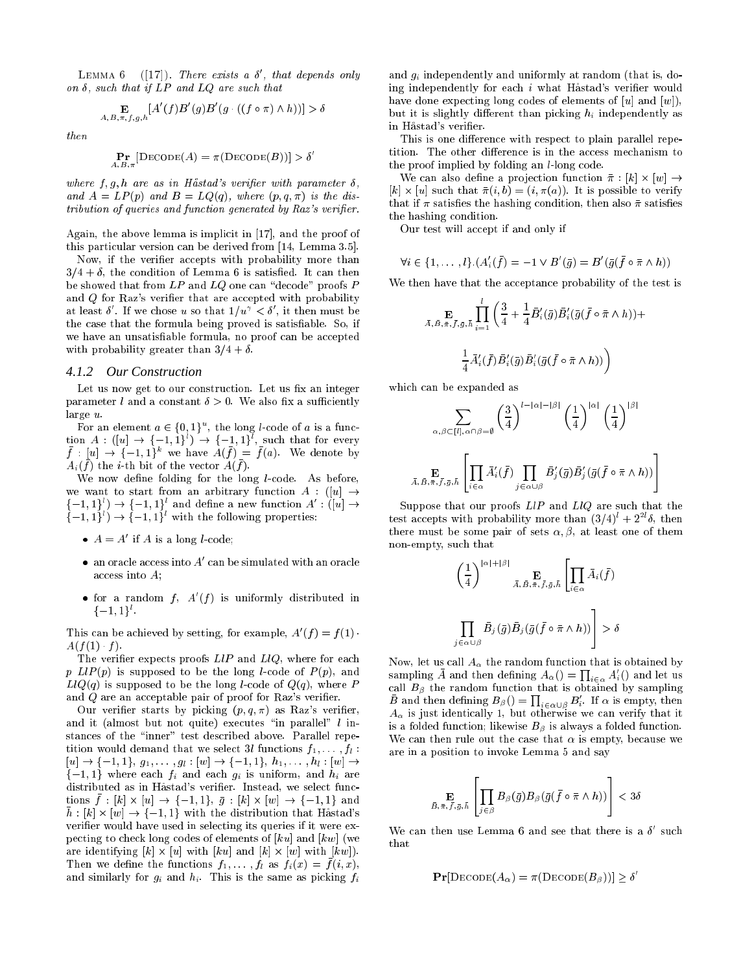LEMMA  $\mathfrak{b}$  ([17]). There exists a  $\mathfrak{o}$ , that depends only on  $\delta$ , such that if  $LP$  and  $LQ$  are such that

$$
\mathop{\mathbf{E}}_{A,B,\pi,f,g,h}[A'(f)B'(g)B'(g\cdot ((f\circ\pi)\wedge h))] > \delta
$$

then

$$
\mathop{\bf Pr}_{A,B,\pi}[{\rm DECODE}(A)=\pi({\rm DECODE}(B))]>\delta
$$

where  $f, g, h$  are as in Håstad's verifier with parameter  $\delta$ , and  $A = LP(p)$  and  $B = LQ(q)$ , where  $(p, q, \pi)$  is the distribution of queries and function generated by Raz's verifier.

Again, the above lemma is implicit in  $[17]$ , and the proof of this particular version can be derived from [14, Lemma 3.5].

Now, if the verifier accepts with probability more than  $3/4 + \delta$ , the condition of Lemma 6 is satisfied. It can then be showed that from  $LP$  and  $LQ$  one can "decode" proofs  $P$ and  $Q$  for Raz's verifier that are accepted with probability at least  $\mathfrak o$  . If we chose  $u$  so that  $1/u^+ < \mathfrak o$  , it then must be the case that the formula being proved is satisfiable. So, if we have an unsatisfiable formula, no proof can be accepted with probability greater than  $3/4 + \delta$ .

#### *4.1.2 Our Construction*

Let us now get to our construction. Let us fix an integer parameter l and a constant  $\delta > 0$ . We also fix a sufficiently large u.

For an element  $a \in \{0, 1\}$  , the long *t*-code of  $a$  is a function  $A: (|u| \rightarrow (-1, 1)) \rightarrow (-1, 1)$ , such that for every  $f : |u| \rightarrow |-1, 1$  we have  $A(f) = f(a)$ . We denote by  $A_i$ ( ) the  $i$ -th bit of the vector  $A(j)$ .

We now define folding for the long  $l$ -code. As before, we want to start from an arbitrary function  $A$  : ([u]  $\rightarrow$  $\{-1, 1\}$  )  $\rightarrow$   $\{-1, 1\}$  and define a new function  $A$  : ([u]  $\rightarrow$  $\{-1, 1\}$  )  $\rightarrow$   $\{-1, 1\}$  with the following properties:

- $A = A$  if A is a long *l*-code;
- $\bullet$  an oracle access into  $A$  -can be simulated with an oracle access into A;
- $\bullet$  for a random f,  $A(t)$  is uniformly distributed in  $1 - 1, 1$  ).

This can be achieved by setting, for example,  $A(f) = f(1)$ .  $A(f(1) \cdot f)$ .

The verifier expects proofs  $LIP$  and  $LIQ$ , where for each p  $LIP(p)$  is supposed to be the long *l*-code of  $P(p)$ , and  $LlQ(q)$  is supposed to be the long l-code of  $Q(q)$ , where P and  $Q$  are an acceptable pair of proof for Raz's verifier.

Our verifier starts by picking  $(p, q, \pi)$  as Raz's verifier, and it (almost but not quite) executes "in parallel"  $l$  instances of the "inner" test described above. Parallel repetition would demand that we select 3l functions  $f_1, \ldots, f_l$ :  $[u] \to \{-1, 1\}, g_1, \ldots, g_l : [w] \to \{-1, 1\}, h_1, \ldots, h_l : [w] \to$  $\{-1,1\}$  where each  $f_i$  and each  $g_i$  is uniform, and  $h_i$  are distributed as in Håstad's verifier. Instead, we select func- $\begin{bmatrix} 1 & 0 & 0 \\ 0 & 1 & 1 \end{bmatrix}$  .  $\begin{bmatrix} 0 & 0 & 0 \\ 0 & 1 & 1 \end{bmatrix}$  .  $\begin{bmatrix} 0 & 0 & 0 \\ 0 & 1 & 0 \end{bmatrix}$  . The summary is the summary is the summary is the summary is the summary is the summary is the summary is the summary is  $h: [k] \times [w] \rightarrow \{-1, 1\}$  with the distribution that Håstad's verifier would have used in selecting its queries if it were expecting to check long codes of elements of  $|ku|$  and  $|kw|$  (we are identifying for a strong from the first function  $\mathbb{R}^n$  and  $\mathbb{R}^n$ Then we define the functions  $f_1, \ldots, f_k$  as  $f_k(x) = f(k, x)$ , and similarly for  $g_i$  and  $h_i$ . This is the same as picking  $f_i$ 

and  $q_i$  independently and uniformly at random (that is, doing independently for each i what Håstad's verifier would have done expecting long codes of elements of  $[u]$  and  $[w]$ , but it is slightly different than picking  $h_i$  independently as in Håstad's verifier.

This is one difference with respect to plain parallel repetition. The other difference is in the access mechanism to the proof implied by folding an *l*-long code.

we are the contract of the contract of the contract of the contract of the contract of the contract of the contract of the contract of the contract of the contract of the contract of the contract of the contract of the con  $\mathbf{h}$  - (ii) = (iii). It is possible to verify the contribution of the contribution of the contribution of the contribution of the contribution of the contribution of the contribution of the contribution of the contrib that if  $\pi$  satisfies the hashing condition, then also  $\bar{\pi}$  satisfies the hashing ondition.

Our test will accept if and only if

$$
\forall i \in \{1, \ldots, l\}. (A_i'(\bar{f}) = -1 \vee B'(\bar{g}) = B'(\bar{g}(\bar{f} \circ \bar{\pi} \wedge h))
$$

We then have that the acceptance probability of the test is

$$
\begin{aligned} \n\sum_{\vec{A}, \vec{B}, \vec{\pi}, \vec{f}, \vec{g}, \vec{h}} & \prod_{i=1}^{l} \left( \frac{3}{4} + \frac{1}{4} \vec{B}_{i}'(\bar{g}) \vec{B}_{i}'(\bar{g}(\bar{f} \circ \bar{\pi} \wedge h)) + \\ \n& \frac{1}{4} \vec{A}_{i}'(\bar{f}) \vec{B}_{i}'(\bar{g}) \vec{B}_{i}'(\bar{g}(\bar{f} \circ \bar{\pi} \wedge h)) \right) \n\end{aligned}
$$

which can be expanded as

$$
\sum_{\alpha,\beta \in [l],\alpha \cap \beta = \emptyset} \left(\frac{3}{4}\right)^{l-|\alpha|-|\beta|} \left(\frac{1}{4}\right)^{|\alpha|} \left(\frac{1}{4}\right)^{|\beta|}
$$

$$
\bar{A}, \bar{B}, \bar{\pi}, \bar{f}, \bar{g}, \bar{h} \left[\prod_{i \in \alpha} \bar{A}'_i(\bar{f}) \prod_{j \in \alpha \cup \beta} \bar{B}'_j(\bar{g}) \bar{B}'_j(\bar{g}(\bar{f} \circ \bar{\pi} \wedge h))\right]
$$

33.33 55.55

Suppose that our proofs  $LIP$  and  $LIQ$  are such that the test accepts with probability more than  $(3/4)$  + 2  $\,$  0, then there must be some pair of sets  $\alpha, \beta$ , at least one of them non-empty, su
h that

$$
\left(\frac{1}{4}\right)^{|\alpha|+|\beta|} \mathbf{E}_{\bar{A},\bar{B},\bar{\pi},\bar{f},\bar{g},\bar{h}} \left[\prod_{i \in \alpha} \bar{A}_i(\bar{f})\right]
$$

$$
\prod_{j \in \alpha \cup \beta} \bar{B}_j(\bar{g}) \bar{B}_j(\bar{g}(\bar{f} \circ \bar{\pi} \wedge h))\right] > \delta
$$

Now, let us call  $A_{\alpha}$  the random function that is obtained by sampling A and then defining  $A_\alpha() = \prod_{i \in \alpha} A'_i()$  and let us call  $B_\beta$  the random function that is obtained by sampling B and then defining  $B_{\beta}() = \prod_{i \in \alpha \cup \beta} B'_i$ . If  $\alpha$  is empty, then  $A_{\alpha}$  is just identically 1, but otherwise we can verify that it is a folded function; likewise  $B_\beta$  is always a folded function. We can then rule out the case that  $\alpha$  is empty, because we are in a position to invoke Lemma 5 and say

$$
\underset{\bar{B},\bar{\pi},\bar{f},\bar{g},\bar{h}}{\mathbf{E}}\left[\prod_{j\in\beta}B_{\beta}(\bar{g})B_{\beta}(\bar{g}(\bar{f}\circ\bar{\pi}\wedge h))\right]<3\delta
$$

We can then use Lemma  $\mathfrak b$  and see that there is a  $\mathfrak o$  such that

$$
\mathbf{Pr}[\text{DECODE}(A_{\alpha}) = \pi(\text{DECODE}(B_{\beta}))] \ge \delta'
$$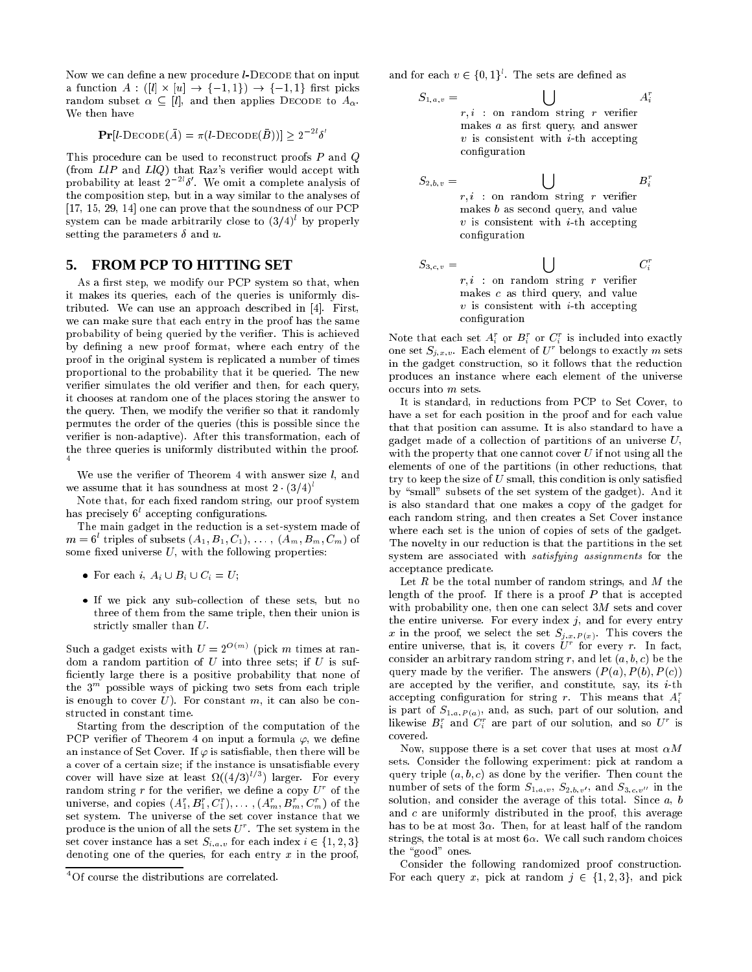Now we can define a new procedure *l*-DECODE that on input a function and the function of the function of the function of the function of the function of the function of random subset  $\alpha \subseteq [l]$ , and then applies DECODE to  $A_{\alpha}$ . We then have

 $\Pr[l\text{-}DECODE(A) = \pi(l\text{-}DECODE(B))] \geq 2-\delta$ 

This procedure can be used to reconstruct proofs  $P$  and  $Q$ (from  $LIP$  and  $LIQ$ ) that Raz's verifier would accept with probability at least 22l Æ <sup>0</sup> . We omit a omplete analysis of the omposition step, but in a way similar to the analyses of  $[17, 15, 29, 14]$  one can prove that the soundness of our PCP system can be made arbitrarily close to (3/4)' by properly setting the parameters  $\delta$  and  $u$ .

# **5. FROM PCP TO HITTING SET**

As a first step, we modify our PCP system so that, when it makes its queries, ea
h of the queries is uniformly distributed. We can use an approach described in  $[4]$ . First, we can make sure that each entry in the proof has the same probability of being queried by the verifier. This is achieved by defining a new proof format, where each entry of the proof in the original system is repli
ated a number of times proportional to the probability that it be queried. The new verifier simulates the old verifier and then, for each query, it hooses at random one of the pla
es storing the answer to the query. Then, we modify the verifier so that it randomly permutes the order of the queries (this is possible sin
e the verifier is non-adaptive). After this transformation, each of the three queries is uniformly distributed within the proof.

We use the verifier of Theorem 4 with answer size  $l$ , and we assume that it has soundness at most  $2 \cdot (3/4)^t$ 

Note that, for each fixed random string, our proof system nas precisely o' accepting configurations.

The main gadget in the reduction is a set-system made of  $m = 6$  triples of subsets  $(A_1, B_1, C_1), \ldots, (A_m, B_m, C_m)$  of some fixed universe  $U$ , with the following properties:

- For each i,  $A_i \cup B_i \cup C_i = U$ ;
- If we pi
k any subolle
tion of these sets, but no three of them from the same triple, then their union is strictly smaller than  $U$ .

Such a gadget exists with  $U = 2$   $\rightarrow$   $\rightarrow$  (pick  $m$  times at random a random partition of  $U$  into three sets; if  $U$  is sufficiently large there is a positive probability that none of the 3 – possible ways of picking two sets from each triple is enough to cover  $U$ ). For constant  $m$ , it can also be constru
ted in onstant time.

Starting from the description of the computation of the PCP verifier of Theorem 4 on input a formula  $\varphi$ , we define an instance of Set Cover. If  $\varphi$  is satisfiable, then there will be a cover of a certain size; if the instance is unsatisfiable every cover will have size at least M((4/3)') larger. For every random string  $r$  for the verifier, we define a copy  $\bar{U}$  for the universe, and copies  $(A_1, B_1, U_1), \ldots, (A_m, B_m, U_m)$  of the set system. The universe of the set cover instance that we produce is the union of all the sets  $U$  . The set system in the set cover instance has a set  $S_{i,a,v}$  for each index  $i \in \{1,2,3\}$ denoting one of the queries, for each entry  $x$  in the proof,

and for each  $v \in \{0, 1\}$ . The sets are defined as

 $S_{1,a,v} =$  $\blacksquare$  $r, i$  : on random string r verifier makes  $a$  as first query, and answer  $v$  is consistent with *i*-th accepting configuration

 $A_i^r$ 

 $C_i^r$ 

$$
S_{2,b,v} = \bigcup_{\begin{array}{c} r, i \text{ : on random string } r \text{ verifier} \\ \text{makes } b \text{ as second query, and value} \\ v \text{ is consistent with } i\text{-th accepting} \\ \text{configuration} \end{array}}
$$

 $S_{3,c,v} =$ . .  $r, i$  : on random string r verifier makes  $c$  as third query, and value  $v$  is consistent with *i*-th accepting configuration

Note that each set  $A_i$  or  $B_i$  or  $C_i$  is included into exactly one set  $S_{i,x,v}$ . Each element of  $U$  belongs to exactly m sets in the gadget construction, so it follows that the reduction produ
es an instan
e where ea
h element of the universe occurs into m sets.

It is standard, in reductions from PCP to Set Cover, to have a set for each position in the proof and for each value that that position an assume. It is also standard to have a gadget made of a collection of partitions of an universe  $U$ , with the property that one cannot cover  $U$  if not using all the elements of one of the partitions (in other reductions, that try to keep the size of  $U$  small, this condition is only satisfied by "small" subsets of the set system of the gadget). And it is also standard that one makes a opy of the gadget for each random string, and then creates a Set Cover instance where each set is the union of copies of sets of the gadget. The novelty in our reduction is that the partitions in the set system are associated with *satisfying assignments* for the acceptance predicate.

Let  $R$  be the total number of random strings, and  $M$  the length of the proof. If there is a proof  $P$  that is accepted with probability one, then one can select  $3M$  sets and cover the entire universe. For every index  $j$ , and for every entry entire universe, that is, it covers  $U^r$  for every r. In fact, consider an arbitrary random string r, and let  $(a, b, c)$  be the query made by the verifier. The answers  $(P(a), P(b), P(c))$ are accepted by the verifier, and constitute, say, its  $i$ -th accepting configuration for string r. This means that  $A_i^r$ is part of  $S_{1,a,P(a)}$ , and, as such, part of our solution, and likewise  $B_i$  and  $C_i$  are part of our solution, and so U is overed.

Now, suppose there is a set cover that uses at most  $\alpha M$ sets. Consider the following experiment: pi
k at random a query triple  $(a, b, c)$  as done by the verifier. Then count the number of sets of the form  $S_{1,a,v}$ ,  $S_{2,b,v'}$ , and  $S_{3,c,v''}$  in the solution, and consider the average of this total. Since  $a, b$ and c are uniformly distributed in the proof, this average has to be at most  $3\alpha$ . Then, for at least half of the random strings, the total is at most  $6\alpha$ . We call such random choices the "good" ones.

Consider the following randomized proof construction. For each query x, pick at random  $j \in \{1, 2, 3\}$ , and pick

<sup>4</sup> Of ourse the distributions are orrelated.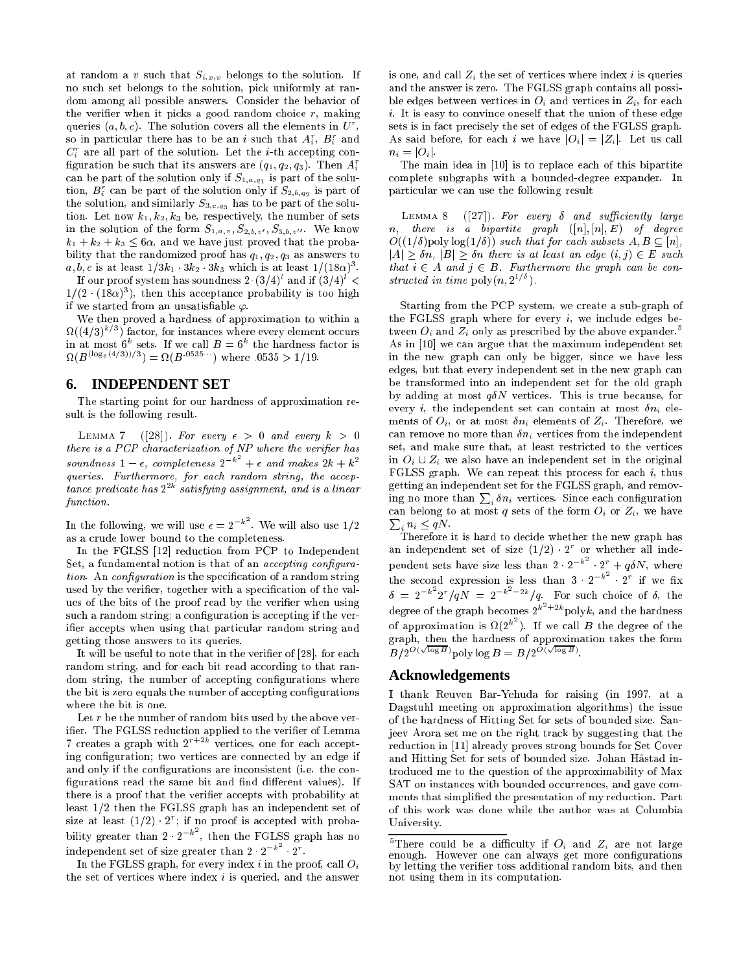at random a v such that  $S_{i,x,v}$  belongs to the solution. If no su
h set belongs to the solution, pi
k uniformly at random among all possible answers. Consider the behavior of the verifier when it picks a good random choice  $r$ , making queries (a, b, c). The solution covers all the elements in  $\bar{U}$  , so in particular there has to be an  $i$  such that  $A_i, \; \bm{B}_i \;$  and  $\mathbf{C}_i$  are all part of the solution. Let the *i*-th accepting configuration be such that its answers are  $(q_1, q_2, q_3)$ . Then  $A_i^r$ and be part of the solution only if  $\mathcal{A}_1$ ; solution on ly if  $\mathcal{A}_2$  is part of the solution of the solution of the solution of the solution of the solution of the solution of the solution of the solution of the sol tion,  $B_i$  can be part of the solution only if  $\mathcal{S}_{2,b,q_2}$  is part of the solution, and similarly  $S_{3,c,q_3}$  has to be part of the solution. Let now  $k_1, k_2, k_3$  be, respectively, the number of sets in the solution of the form  $S_{1,a,v}$ ,  $S_{2,b,v'}$ ,  $S_{3,b,v''}$ . We know  $k_1 + k_2 + k_3 \leq 6\alpha$ , and we have just proved that the probability that the randomized proof has  $q_1, q_2, q_3$  as answers to  $a, b, c$  is at least  $1/3\kappa_1$   $3\kappa_2$   $3\kappa_3$  which is at least  $1/(18\alpha)$  .

If our proof system has soundness  $2 \cdot (3/4)$  and if  $(3/4) <$  $1/(2 \cdot 18\alpha)$  ), then this acceptance probability is too high if we started from an unsatisfiable  $\varphi$ .

We then proved a hardness of approximation to within a  $\Omega((4/3)^{n})$  factor, for instances where every element occurs in at most  $\mathfrak{b}^-$  sets. If we call  $B = \mathfrak{b}^-$  the hardness factor is  $\Omega(B^{3} \circ \Omega^{3}) = \Omega(B^{3} \circ \Omega^{3})$  where  $.0335 > 1/19$ .

## **6. INDEPENDENT SET**

The starting point for our hardness of approximation result is the following result.

LEMMA 7 ([28]). For every  $\epsilon > 0$  and every  $k > 0$ there is a PCP characterization of  $NP$  where the verifier has soundness  $1 - \epsilon$ , completeness  $2^{-k}$  +  $\epsilon$  and makes  $2k + k^2$  $+$  and  $+$  and  $+$  and  $+$  and  $+$  k  $+$  k  $+$  k  $+$  k  $+$  k  $+$  k  $+$  k  $+$  k  $+$  k  $+$  k  $+$  k  $+$  k  $+$  k  $+$  k  $+$  k  $+$  k  $+$  k  $+$  k  $+$  k  $+$  k  $+$  k  $+$  k  $+$  k  $+$  k  $+$  k  $+$  k  $+$  k  $+$  k  $+$  k  $+$  k  $+$  k  $+$ queries. Furthermore, for ea
h random string, the a

eptance preaícate nas 2<sup>10</sup> satisfying assignment, and is a linear function.

In the following, we will use  $\epsilon = 2^{-\kappa}$ . We will also use  $1/2$ as a rude lower bound to the ompleteness.

In the FGLSS [12] reduction from PCP to Independent Set, a fundamental notion is that of an *accepting configura*tion. An configuration is the specification of a random string used by the verifier, together with a specification of the values of the bits of the proof read by the verifier when using such a random string; a configuration is accepting if the verifier accepts when using that particular random string and getting those answers to its queries.

It will be useful to note that in the verifier of  $[28]$ , for each random string, and for each bit read according to that random string, the number of accepting configurations where the bit is zero equals the number of accepting configurations where the bit is one.

Let  $r$  be the number of random bits used by the above verier. The FGLSS redu
tion applied to the verier of Lemma creates a graph with 2 <sup>rearr</sup> vertices, one for each accepting configuration; two vertices are connected by an edge if and only if the configurations are inconsistent (i.e. the configurations read the same bit and find different values). If there is a proof that the verifier accepts with probability at least  $1/2$  then the FGLSS graph has an independent set of size at least  $(1/2)^{-}$   $\bar{z}$  ; if no proof is accepted with probability greater than 2  $2^{-\kappa}$  , then the FGLSS graph has no independent set of size greater than  $2 \cdot 2^{-k}$   $2^r$ .

In the FGLSS graph, for every index  $i$  in the proof, call  $O_i$ the set of vertices where index  $i$  is queried, and the answer is one, and call  $Z_i$  the set of vertices where index i is queries and the answer is zero. The FGLSS graph ontains all possible edges between vertices in  $O_i$  and vertices in  $Z_i$ , for each i. It is easy to convince oneself that the union of these edge sets is in fact precisely the set of edges of the FGLSS graph. As said before, for each i we have  $|O_i| = |Z_i|$ . Let us call  $n_i = |O_i|.$ 

The main idea in [10] is to replace each of this bipartite omplete subgraphs with a bounded-degree expander. In parti
ular we an use the following result

LEMMA 8  $([27])$ . For every  $\delta$  and sufficiently large  $n,$  there is a bipartite graph  $([n], [n], E)$  of degree  $O((1/\delta) \text{poly} \log(1/\delta))$  such that for each subsets  $A, B \subseteq [n],$  $|A| \geq \delta n$ ,  $|B| \geq \delta n$  there is at least an edge  $(i, j) \in E$  such that  $i \in A$  and  $j \in B$ . Furthermore the graph can be constructed in time  $\text{poly}(n, 2^{-\ell})$ .

Starting from the PCP system, we create a sub-graph of the FGLSS graph where for every  $i$ , we include edges between  $O_i$  and  $Z_i$  only as prescribed by the above expander.<sup>5</sup> As in  $[10]$  we can argue that the maximum independent set in the new graph an only be bigger, sin
e we have less edges, but that every independent set in the new graph an be transformed into an independent set for the old graph by adding at most  $q\delta N$  vertices. This is true because, for every *i*, the independent set can contain at most  $\delta n_i$  elements of  $O_i$ , or at most  $\delta n_i$  elements of  $Z_i$ . Therefore, we can remove no more than  $\delta n_i$  vertices from the independent set, and make sure that, at least restricted to the vertices in  $O_i \cup Z_i$  we also have an independent set in the original FGLSS graph. We can repeat this process for each  $i$ , thus getting an independent set for the FGLSS graph, and removing no more than  $\sum_i \delta n_i$  vertices. Since each configuration an belong to at most quantum or  $\alpha$  sets of the form Oi or Zi , we have the form Oi or Zi , we have the form  $\sum_i n_i \leq qN$ .

Therefore it is hard to de
ide whether the new graph has an independent set of size (1/2) · 2 · pendent sets have size less than  $2 \cdot 2^{-k^2} \cdot 2^r + q \delta N$ , where<br>the second expression is less than  $3 \cdot 2^{-k^2} \cdot 2^r$  if we fix<br> $\delta = 2^{-k^2} 2^r / qN = 2^{-k^2 - 2k} / q$ . For such choice of  $\delta$ , the degree of the graph becomes  $2^{k^2+2k}$  polyk, and the hardness of approximation is  $\Omega(2^{k})$ . If we call B the degree of the  $B/2^{O(\sqrt{\log B})}$  poly log  $B=B/2^{O(\sqrt{\log B})}$ .

#### **Acknowledgements**

I thank Reuven Bar-Yehuda for raising (in 1997, at a Dagstuhl meeting on approximation algorithms) the issue of the hardness of Hitting Set for sets of bounded size. Sanjeev Arora set me on the right tra
k by suggesting that the reduction in [11] already proves strong bounds for Set Cover and Hitting Set for sets of bounded size. Johan Hastad introdu
ed me to the question of the approximability of Max SAT on instances with bounded occurrences, and gave comments that simplified the presentation of my reduction. Part of this work was done while the author was at Columbia University.

There could be a dimiculty if  $O_i$  and  $Z_i$  are not large enough. However one can always get more configurations by letting the verifier toss additional random bits, and then not using them in its omputation.